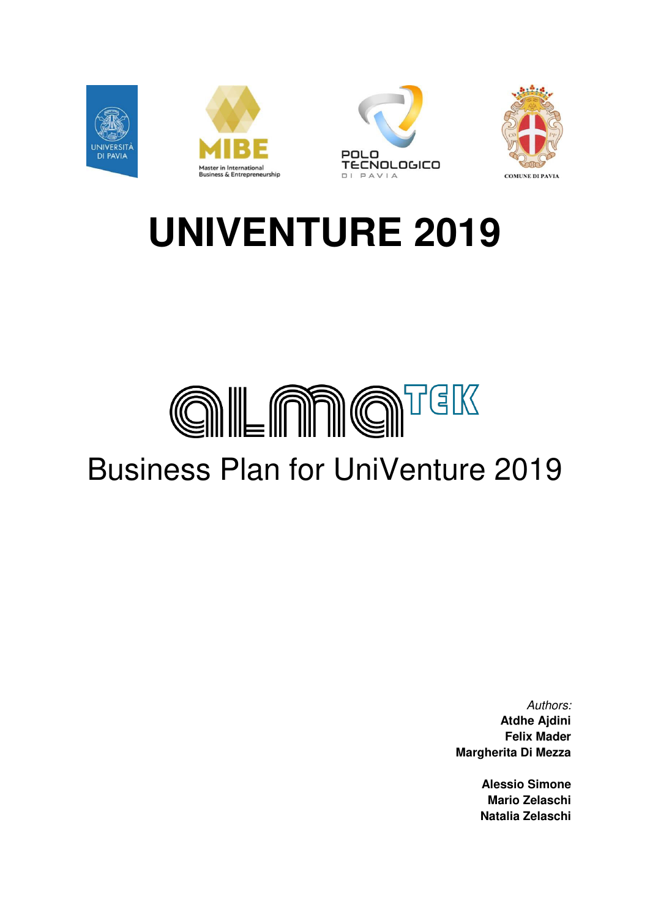

# **UNIVENTURE 2019**

# **GILAN GI**TEK Business Plan for UniVenture 2019

Authors: **Atdhe Ajdini Felix Mader Margherita Di Mezza** 

> **Alessio Simone Mario Zelaschi Natalia Zelaschi**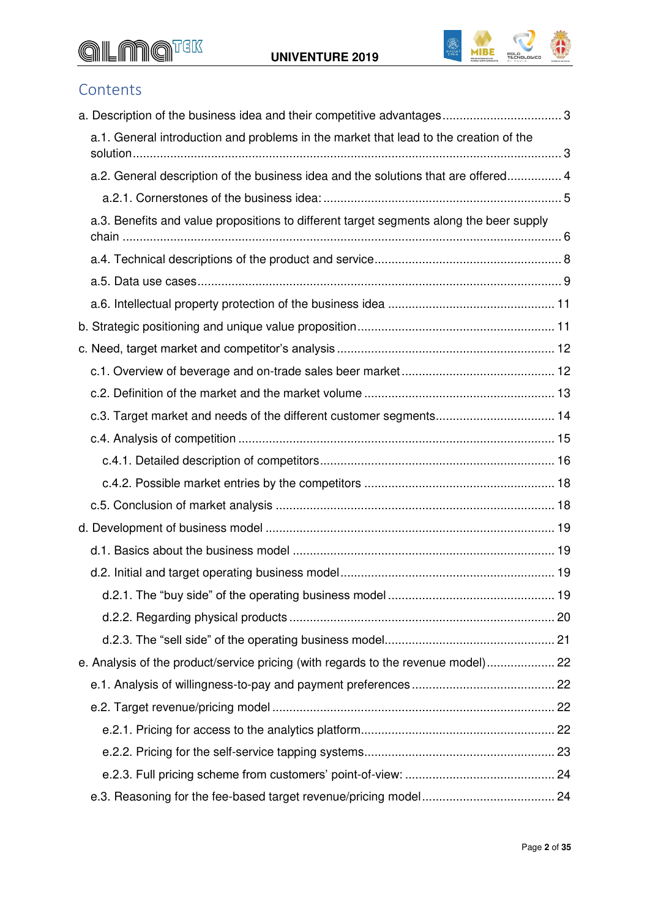## **GILANG**TEK UNIVENTURE 2019



#### **Contents**

| a.1. General introduction and problems in the market that lead to the creation of the   |  |
|-----------------------------------------------------------------------------------------|--|
| a.2. General description of the business idea and the solutions that are offered 4      |  |
|                                                                                         |  |
| a.3. Benefits and value propositions to different target segments along the beer supply |  |
|                                                                                         |  |
|                                                                                         |  |
|                                                                                         |  |
|                                                                                         |  |
|                                                                                         |  |
|                                                                                         |  |
|                                                                                         |  |
| c.3. Target market and needs of the different customer segments 14                      |  |
|                                                                                         |  |
|                                                                                         |  |
|                                                                                         |  |
|                                                                                         |  |
|                                                                                         |  |
|                                                                                         |  |
|                                                                                         |  |
|                                                                                         |  |
|                                                                                         |  |
|                                                                                         |  |
| e. Analysis of the product/service pricing (with regards to the revenue model) 22       |  |
|                                                                                         |  |
|                                                                                         |  |
|                                                                                         |  |
|                                                                                         |  |
|                                                                                         |  |
|                                                                                         |  |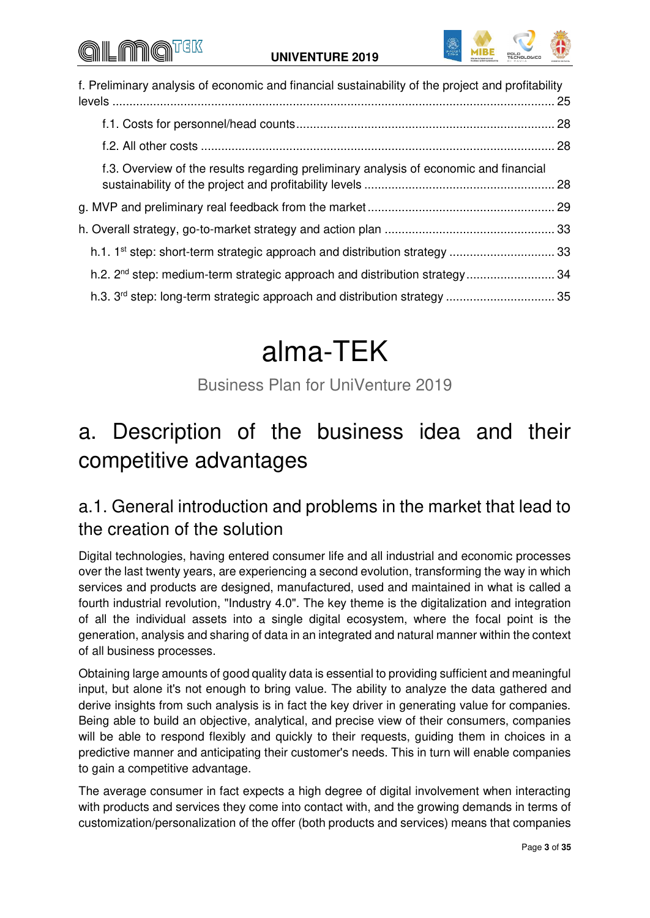### all nio



| f. Preliminary analysis of economic and financial sustainability of the project and profitability |  |  |
|---------------------------------------------------------------------------------------------------|--|--|
|                                                                                                   |  |  |
|                                                                                                   |  |  |
| f.3. Overview of the results regarding preliminary analysis of economic and financial             |  |  |
|                                                                                                   |  |  |
|                                                                                                   |  |  |
| h.1. 1 <sup>st</sup> step: short-term strategic approach and distribution strategy  33            |  |  |
| h.2. 2 <sup>nd</sup> step: medium-term strategic approach and distribution strategy 34            |  |  |
| h.3. 3 <sup>rd</sup> step: long-term strategic approach and distribution strategy  35             |  |  |

## alma-TEK

Business Plan for UniVenture 2019

### <span id="page-2-0"></span>a. Description of the business idea and their competitive advantages

#### <span id="page-2-1"></span>a.1. General introduction and problems in the market that lead to the creation of the solution

Digital technologies, having entered consumer life and all industrial and economic processes over the last twenty years, are experiencing a second evolution, transforming the way in which services and products are designed, manufactured, used and maintained in what is called a fourth industrial revolution, "Industry 4.0". The key theme is the digitalization and integration of all the individual assets into a single digital ecosystem, where the focal point is the generation, analysis and sharing of data in an integrated and natural manner within the context of all business processes.

Obtaining large amounts of good quality data is essential to providing sufficient and meaningful input, but alone it's not enough to bring value. The ability to analyze the data gathered and derive insights from such analysis is in fact the key driver in generating value for companies. Being able to build an objective, analytical, and precise view of their consumers, companies will be able to respond flexibly and quickly to their requests, guiding them in choices in a predictive manner and anticipating their customer's needs. This in turn will enable companies to gain a competitive advantage.

The average consumer in fact expects a high degree of digital involvement when interacting with products and services they come into contact with, and the growing demands in terms of customization/personalization of the offer (both products and services) means that companies